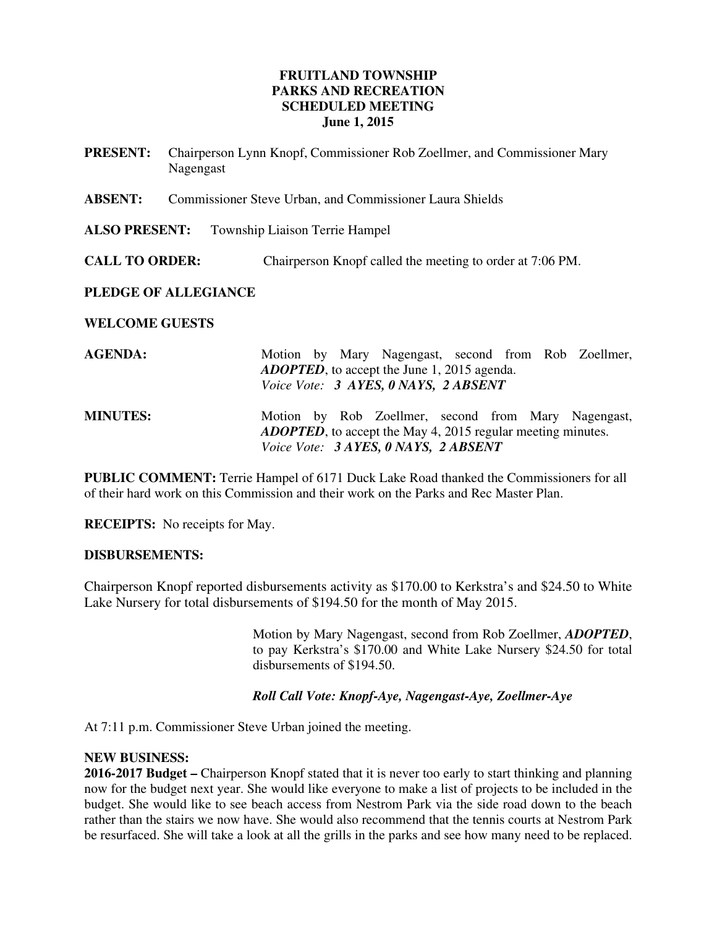# **FRUITLAND TOWNSHIP PARKS AND RECREATION SCHEDULED MEETING June 1, 2015**

- **PRESENT:** Chairperson Lynn Knopf, Commissioner Rob Zoellmer, and Commissioner Mary Nagengast
- **ABSENT:** Commissioner Steve Urban, and Commissioner Laura Shields
- **ALSO PRESENT:** Township Liaison Terrie Hampel
- **CALL TO ORDER:** Chairperson Knopf called the meeting to order at 7:06 PM.

# **PLEDGE OF ALLEGIANCE**

### **WELCOME GUESTS**

| <b>AGENDA:</b>  | Motion by Mary Nagengast, second from Rob Zoellmer,<br><b>ADOPTED</b> , to accept the June 1, 2015 agenda.<br>Voice Vote: 3 AYES, 0 NAYS, 2 ABSENT                 |  |  |
|-----------------|--------------------------------------------------------------------------------------------------------------------------------------------------------------------|--|--|
| <b>MINUTES:</b> | Motion by Rob Zoellmer, second from Mary Nagengast,<br><b>ADOPTED</b> , to accept the May 4, 2015 regular meeting minutes.<br>Voice Vote: 3 AYES, 0 NAYS, 2 ABSENT |  |  |

**PUBLIC COMMENT:** Terrie Hampel of 6171 Duck Lake Road thanked the Commissioners for all of their hard work on this Commission and their work on the Parks and Rec Master Plan.

**RECEIPTS:** No receipts for May.

### **DISBURSEMENTS:**

Chairperson Knopf reported disbursements activity as \$170.00 to Kerkstra's and \$24.50 to White Lake Nursery for total disbursements of \$194.50 for the month of May 2015.

> Motion by Mary Nagengast, second from Rob Zoellmer, *ADOPTED*, to pay Kerkstra's \$170.00 and White Lake Nursery \$24.50 for total disbursements of \$194.50.

### *Roll Call Vote: Knopf-Aye, Nagengast-Aye, Zoellmer-Aye*

At 7:11 p.m. Commissioner Steve Urban joined the meeting.

### **NEW BUSINESS:**

**2016-2017 Budget –** Chairperson Knopf stated that it is never too early to start thinking and planning now for the budget next year. She would like everyone to make a list of projects to be included in the budget. She would like to see beach access from Nestrom Park via the side road down to the beach rather than the stairs we now have. She would also recommend that the tennis courts at Nestrom Park be resurfaced. She will take a look at all the grills in the parks and see how many need to be replaced.